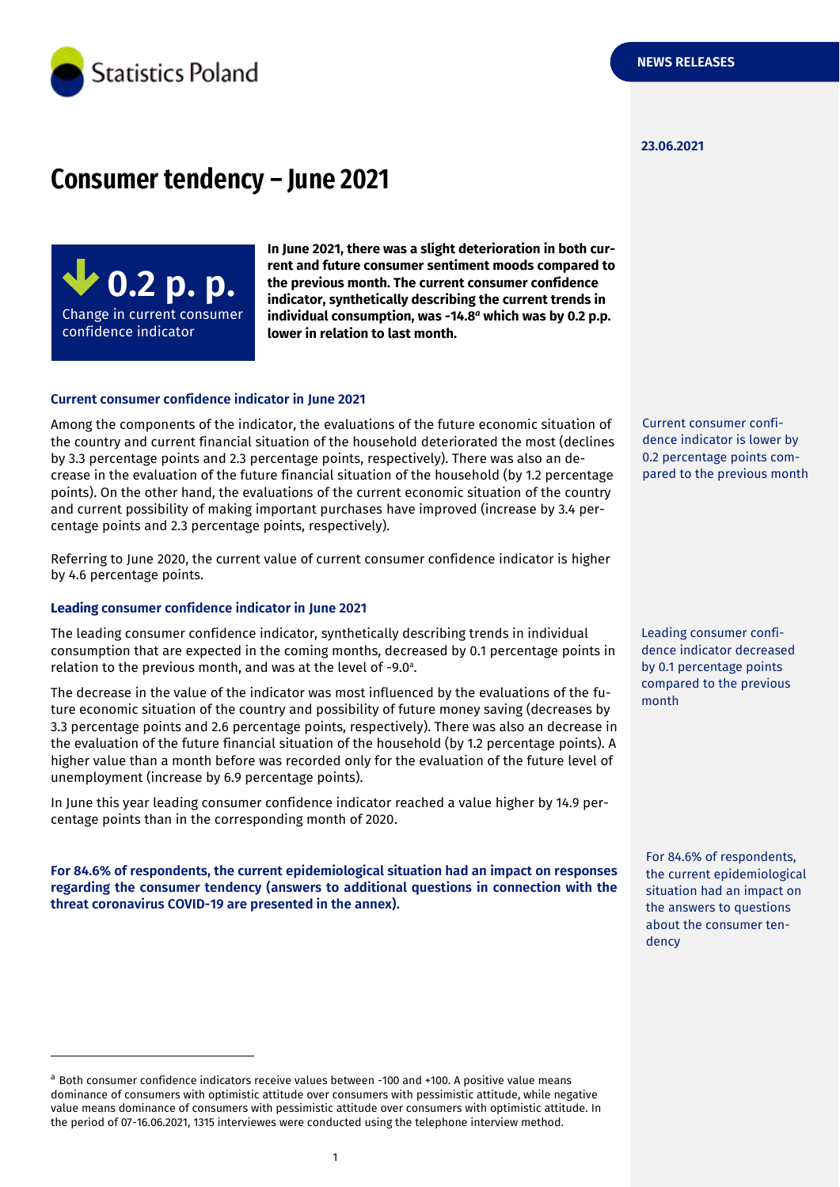

#### **23.06.2021**

# **Consumer tendency – June 2021**



**In June 2021, there was a slight deterioration in both current and future consumer sentiment moods compared to the previous month. The current consumer confidence indicator, synthetically describing the current trends in individual consumption, was -14.8** *<sup>a</sup>* **which was by 0.2 p.p. lower in relation to last month.**

#### **Current consumer confidence indicator in June 2021**

Among the components of the indicator, the evaluations of the future economic situation of the country and current financial situation of the household deteriorated the most (declines by 3.3 percentage points and 2.3 percentage points, respectively). There was also an decrease in the evaluation of the future financial situation of the household (by 1.2 percentage points). On the other hand, the evaluations of the current economic situation of the country and current possibility of making important purchases have improved (increase by 3.4 percentage points and 2.3 percentage points, respectively).

Referring to June 2020, the current value of current consumer confidence indicator is higher by 4.6 percentage points.

#### **Leading consumer confidence indicator in June 2021**

-

The leading consumer confidence indicator, synthetically describing trends in individual consumption that are expected in the coming months, decreased by 0.1 percentage points in relation to the previous month, and was at the level of -9.0 a .

The decrease in the value of the indicator was most influenced by the evaluations of the future economic situation of the country and possibility of future money saving (decreases by 3.3 percentage points and 2.6 percentage points, respectively). There was also an decrease in the evaluation of the future financial situation of the household (by 1.2 percentage points). A higher value than a month before was recorded only for the evaluation of the future level of unemployment (increase by 6.9 percentage points).

In June this year leading consumer confidence indicator reached a value higher by 14.9 percentage points than in the corresponding month of 2020.

**For 84.6% of respondents, the current epidemiological situation had an impact on responses regarding the consumer tendency (answers to additional questions in connection with the threat coronavirus COVID-19 are presented in the annex).** 

<sup>a</sup> Both consumer confidence indicators receive values between -100 and +100. A positive value means dominance of consumers with optimistic attitude over consumers with pessimistic attitude, while negative value means dominance of consumers with pessimistic attitude over consumers with optimistic attitude. In the period of 07-16.06.2021, 1315 interviewes were conducted using the telephone interview method.

Current consumer confidence indicator is lower by 0.2 percentage points compared to the previous month

Leading consumer confidence indicator decreased by 0.1 percentage points compared to the previous month

For 84.6% of respondents, the current epidemiological situation had an impact on the answers to questions about the consumer tendency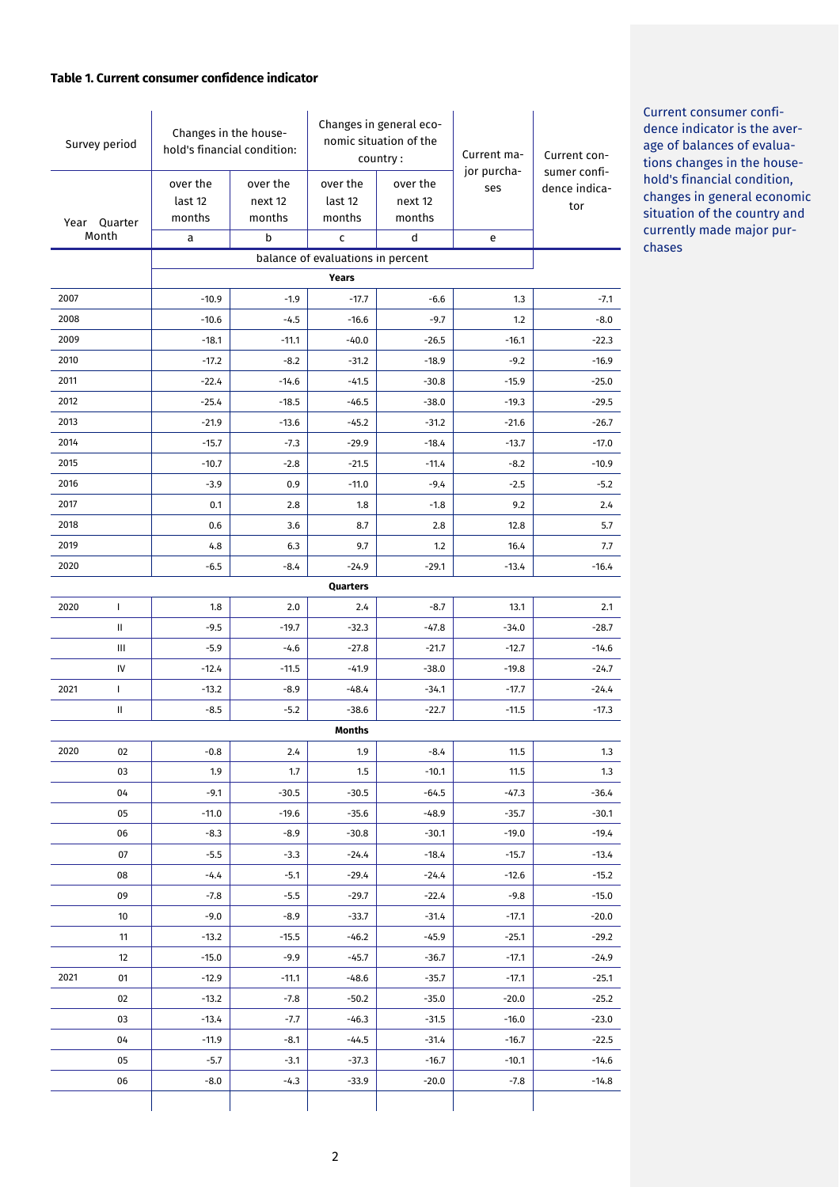#### **Table 1. Current consumer confidence indicator**

| Survey period |                                                   | Changes in the house-<br>hold's financial condition: |          | Changes in general eco-<br>nomic situation of the<br>country: |          | Current ma-        | Current con-                  |
|---------------|---------------------------------------------------|------------------------------------------------------|----------|---------------------------------------------------------------|----------|--------------------|-------------------------------|
|               |                                                   | over the                                             | over the | over the                                                      | over the | jor purcha-<br>ses | sumer confi-<br>dence indica- |
|               |                                                   | last 12                                              | next 12  | last 12                                                       | next 12  |                    | tor                           |
|               | Year Quarter                                      | months                                               | months   | months                                                        | months   |                    |                               |
| Month         |                                                   | а                                                    | b        | c                                                             | d        | e                  |                               |
|               | balance of evaluations in percent<br><b>Years</b> |                                                      |          |                                                               |          |                    |                               |
| 2007          |                                                   | $-10.9$                                              | $-1.9$   | $-17.7$                                                       | $-6.6$   | 1.3                | $-7.1$                        |
| 2008          |                                                   | $-10.6$                                              | $-4.5$   | $-16.6$                                                       | $-9.7$   | 1.2                | $-8.0$                        |
| 2009          |                                                   | $-18.1$                                              | $-11.1$  | $-40.0$                                                       | $-26.5$  | $-16.1$            | $-22.3$                       |
| 2010          |                                                   | $-17.2$                                              | $-8.2$   | $-31.2$                                                       | $-18.9$  | $-9.2$             | $-16.9$                       |
| 2011          |                                                   | $-22.4$                                              | $-14.6$  | $-41.5$                                                       | $-30.8$  | $-15.9$            | $-25.0$                       |
| 2012          |                                                   | $-25.4$                                              | $-18.5$  | $-46.5$                                                       | $-38.0$  | $-19.3$            | $-29.5$                       |
| 2013          |                                                   | $-21.9$                                              | $-13.6$  | $-45.2$                                                       | $-31.2$  | $-21.6$            | $-26.7$                       |
| 2014          |                                                   | $-15.7$                                              | $-7.3$   | $-29.9$                                                       | $-18.4$  | $-13.7$            | $-17.0$                       |
| 2015          |                                                   | $-10.7$                                              | $-2.8$   | $-21.5$                                                       | $-11.4$  | $-8.2$             | $-10.9$                       |
| 2016          |                                                   | $-3.9$                                               | 0.9      | $-11.0$                                                       | $-9.4$   | $-2.5$             | $-5.2$                        |
| 2017          |                                                   | 0.1                                                  | 2.8      | 1.8                                                           | $-1.8$   | 9.2                | 2.4                           |
| 2018          |                                                   | 0.6                                                  | 3.6      | 8.7                                                           | 2.8      | 12.8               | 5.7                           |
| 2019          |                                                   | 4.8                                                  | 6.3      | 9.7                                                           | 1.2      | 16.4               | 7.7                           |
| 2020          |                                                   | $-6.5$                                               | $-8.4$   | $-24.9$                                                       | $-29.1$  | $-13.4$            | $-16.4$                       |
|               |                                                   |                                                      |          | Quarters                                                      |          |                    |                               |
| 2020          | $\mathbf{I}$                                      | 1.8                                                  | 2.0      | 2.4                                                           | $-8.7$   | 13.1               | 2.1                           |
|               | Ш                                                 | $-9.5$                                               | $-19.7$  | $-32.3$                                                       | $-47.8$  | $-34.0$            | $-28.7$                       |
|               | Ш                                                 | $-5.9$                                               | $-4.6$   | $-27.8$                                                       | $-21.7$  | $-12.7$            | $-14.6$                       |
|               | IV                                                | $-12.4$                                              | $-11.5$  | $-41.9$                                                       | $-38.0$  | $-19.8$            | $-24.7$                       |
| 2021          | $\mathbf{I}$                                      | $-13.2$                                              | $-8.9$   | $-48.4$                                                       | $-34.1$  | $-17.7$            | $-24.4$                       |
|               | Ш                                                 | $-8.5$                                               | $-5.2$   | $-38.6$                                                       | $-22.7$  | $-11.5$            | $-17.3$                       |
|               |                                                   |                                                      |          | Months                                                        |          |                    |                               |
| 2020          | 02                                                | $-0.8$                                               | 2.4      | 1.9                                                           | $-8.4$   | 11.5               | 1.3                           |
|               | 03                                                | 1.9                                                  | 1.7      | 1.5                                                           | $-10.1$  | 11.5               | 1.3                           |
|               | 04                                                | $-9.1$                                               | $-30.5$  | $-30.5$                                                       | $-64.5$  | $-47.3$            | $-36.4$                       |
|               | 05                                                | $-11.0$                                              | $-19.6$  | $-35.6$                                                       | $-48.9$  | $-35.7$            | $-30.1$                       |
|               | 06                                                | $-8.3$                                               | $-8.9$   | $-30.8$                                                       | $-30.1$  | $-19.0$            | $-19.4$                       |
|               | 07                                                | $-5.5$                                               | $-3.3$   | $-24.4$                                                       | $-18.4$  | $-15.7$            | $-13.4$                       |
|               | 08                                                | $-4.4$                                               | $-5.1$   | $-29.4$                                                       | $-24.4$  | $-12.6$            | $-15.2$                       |
|               | 09                                                | $-7.8$                                               | $-5.5$   | $-29.7$                                                       | $-22.4$  | $-9.8$             | $-15.0$                       |
|               | 10                                                | $-9.0$                                               | $-8.9$   | $-33.7$                                                       | $-31.4$  | $-17.1$            | $-20.0$                       |
|               | 11                                                | $-13.2$                                              | $-15.5$  | $-46.2$                                                       | $-45.9$  | $-25.1$            | $-29.2$                       |
|               | 12                                                | $-15.0$                                              | $-9.9$   | $-45.7$                                                       | $-36.7$  | $-17.1$            | $-24.9$                       |
| 2021          | 01                                                | $-12.9$                                              | $-11.1$  | $-48.6$                                                       | $-35.7$  | $-17.1$            | $-25.1$                       |
|               | 02                                                | $-13.2$                                              | $-7.8$   | $-50.2$                                                       | $-35.0$  | $-20.0$            | $-25.2$                       |
|               | 03                                                | $-13.4$                                              | $-7.7$   | $-46.3$                                                       | $-31.5$  | $-16.0$            | $-23.0$                       |
|               | 04                                                | $-11.9$                                              | $-8.1$   | $-44.5$                                                       | $-31.4$  | $-16.7$            | $-22.5$                       |
|               | 05                                                | $-5.7$                                               | $-3.1$   | $-37.3$                                                       | $-16.7$  | $-10.1$            | $-14.6$                       |
|               | 06                                                | $-8.0$                                               | $-4.3$   | $-33.9$                                                       | $-20.0$  | $-7.8$             | $-14.8$                       |
|               |                                                   |                                                      |          |                                                               |          |                    |                               |

Current consumer confidence indicator is the average of balances of evaluations changes in the household's financial condition, changes in general economic situation of the country and currently made major purchases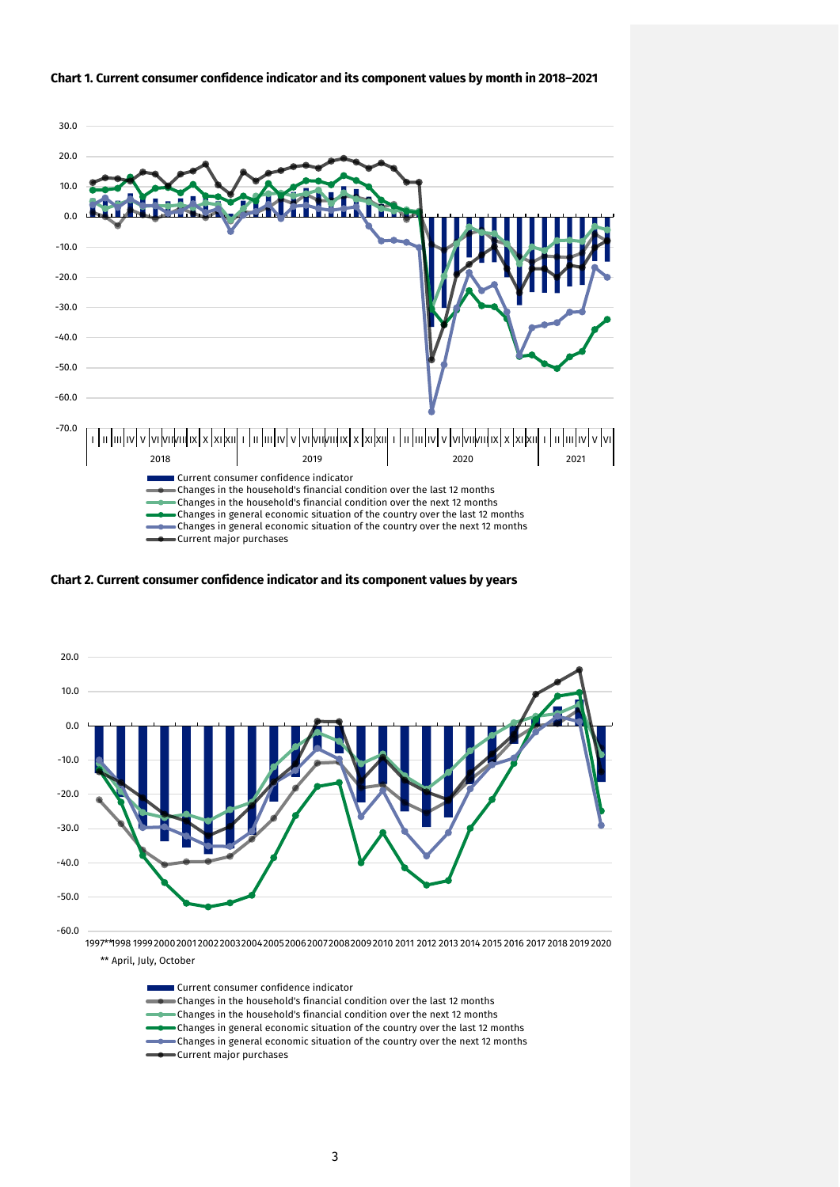

#### **Chart 1. Current consumer confidence indicator and its component values by month in 2018–2021**

**Chart 2. Current consumer confidence indicator and its component values by years**



\*\* April, July, October

| ∎Current consumer confidence indicator                                       |
|------------------------------------------------------------------------------|
| Changes in the household's financial condition over the last 12 months       |
| Changes in the household's financial condition over the next 12 months       |
| Changes in general economic situation of the country over the last 12 months |
| Changes in general economic situation of the country over the next 12 months |
|                                                                              |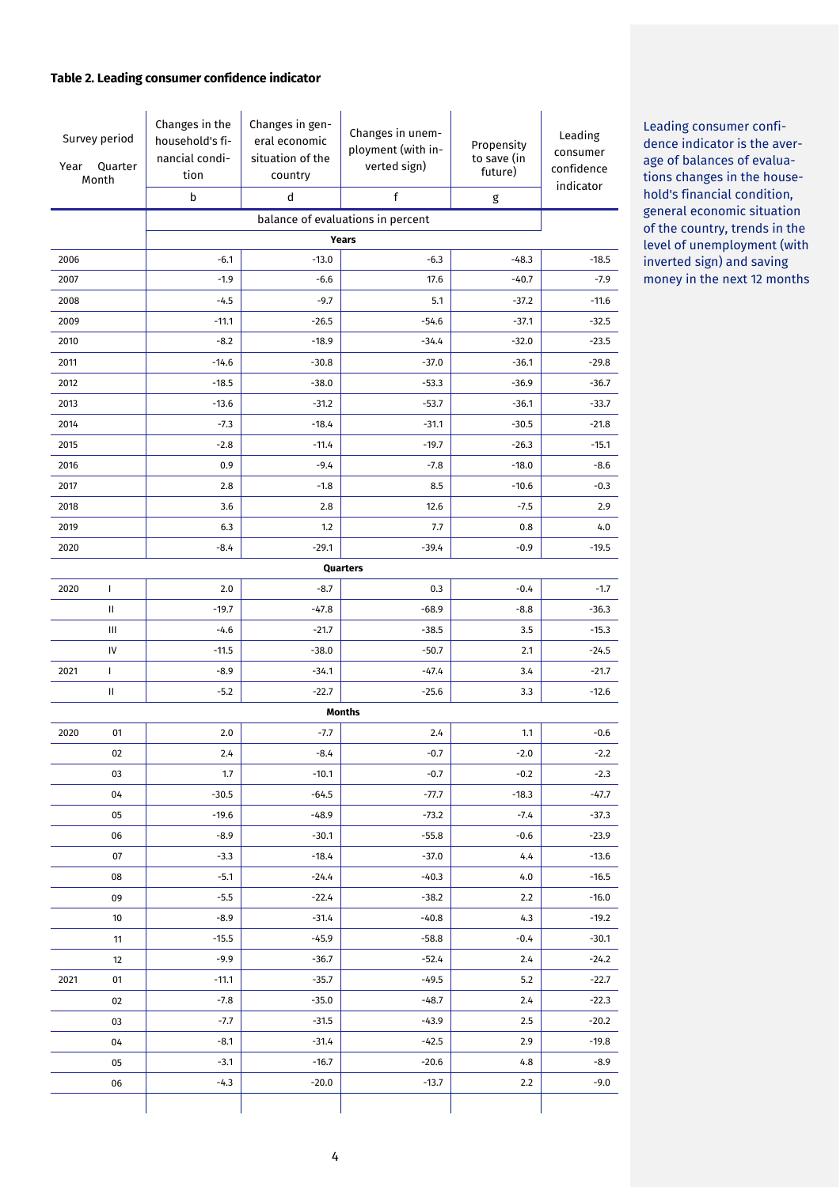### **Table 2. Leading consumer confidence indicator**

| Survey period<br>Quarter<br>Year<br>Month |                                            | Changes in the<br>household's fi-<br>nancial condi-<br>tion<br>b | Changes in gen-<br>eral economic<br>situation of the<br>country<br>d | Changes in unem-<br>ployment (with in-<br>verted sign)<br>f | Propensity<br>to save (in<br>future)<br>g | Leading<br>consumer<br>confidence<br>indicator |  |
|-------------------------------------------|--------------------------------------------|------------------------------------------------------------------|----------------------------------------------------------------------|-------------------------------------------------------------|-------------------------------------------|------------------------------------------------|--|
|                                           |                                            |                                                                  |                                                                      |                                                             |                                           |                                                |  |
|                                           | balance of evaluations in percent<br>Years |                                                                  |                                                                      |                                                             |                                           |                                                |  |
| 2006                                      |                                            | $-6.1$                                                           | $-13.0$                                                              | $-6.3$                                                      | $-48.3$                                   | $-18.5$                                        |  |
| 2007                                      |                                            | $-1.9$                                                           | $-6.6$                                                               | 17.6                                                        | $-40.7$                                   | -7.9                                           |  |
| 2008                                      |                                            | $-4.5$                                                           | $-9.7$                                                               | 5.1                                                         | $-37.2$                                   | $-11.6$                                        |  |
| 2009                                      |                                            | $-11.1$                                                          | $-26.5$                                                              | $-54.6$                                                     | $-37.1$                                   | $-32.5$                                        |  |
| 2010                                      |                                            | $-8.2$                                                           | $-18.9$                                                              | $-34.4$                                                     | $-32.0$                                   | $-23.5$                                        |  |
| 2011                                      |                                            | $-14.6$                                                          | $-30.8$                                                              | $-37.0$                                                     | $-36.1$                                   | $-29.8$                                        |  |
| 2012                                      |                                            | $-18.5$                                                          | $-38.0$                                                              | $-53.3$                                                     | $-36.9$                                   | $-36.7$                                        |  |
| 2013                                      |                                            | $-13.6$                                                          | $-31.2$                                                              | $-53.7$                                                     | $-36.1$                                   | $-33.7$                                        |  |
| 2014                                      |                                            | $-7.3$                                                           | $-18.4$                                                              | $-31.1$                                                     | $-30.5$                                   | $-21.8$                                        |  |
| 2015                                      |                                            | $-2.8$                                                           | $-11.4$                                                              | $-19.7$                                                     | $-26.3$                                   | $-15.1$                                        |  |
| 2016                                      |                                            | 0.9                                                              | $-9.4$                                                               | $-7.8$                                                      | $-18.0$                                   | $-8.6$                                         |  |
| 2017                                      |                                            | 2.8                                                              | $-1.8$                                                               | 8.5                                                         | $-10.6$                                   | $-0.3$                                         |  |
| 2018                                      |                                            | 3.6                                                              | 2.8                                                                  | 12.6                                                        | $-7.5$                                    | 2.9                                            |  |
| 2019                                      |                                            | 6.3                                                              | 1.2                                                                  | 7.7                                                         | 0.8                                       | 4.0                                            |  |
| 2020                                      |                                            | $-8.4$                                                           | $-29.1$                                                              | $-39.4$                                                     | $-0.9$                                    | $-19.5$                                        |  |
|                                           |                                            |                                                                  |                                                                      | Quarters                                                    |                                           |                                                |  |
| 2020                                      | T                                          | 2.0                                                              | $-8.7$                                                               | 0.3                                                         | $-0.4$                                    | $-1.7$                                         |  |
|                                           | Ш<br>Ш                                     | $-19.7$<br>$-4.6$                                                | -47.8<br>$-21.7$                                                     | $-68.9$<br>$-38.5$                                          | $-8.8$<br>3.5                             | $-36.3$<br>$-15.3$                             |  |
|                                           | IV                                         | $-11.5$                                                          | $-38.0$                                                              | $-50.7$                                                     | 2.1                                       | $-24.5$                                        |  |
| 2021                                      | L                                          | -8.9                                                             | $-34.1$                                                              | $-47.4$                                                     | 3.4                                       | $-21.7$                                        |  |
|                                           | Ш                                          | $-5.2$                                                           | $-22.7$                                                              | $-25.6$                                                     | 3.3                                       | $-12.6$                                        |  |
|                                           |                                            |                                                                  |                                                                      | <b>Months</b>                                               |                                           |                                                |  |
| 2020                                      | 01                                         | 2.0                                                              | $-7.7$                                                               | 2.4                                                         | 1.1                                       | $-0.6$                                         |  |
|                                           | 02                                         | 2.4                                                              | $-8.4$                                                               | $-0.7$                                                      | $-2.0$                                    | $-2.2$                                         |  |
|                                           | 03                                         | 1.7                                                              | $-10.1$                                                              | $-0.7$                                                      | $-0.2$                                    | $-2.3$                                         |  |
|                                           | 04                                         | $-30.5$                                                          | $-64.5$                                                              | $-77.7$                                                     | $-18.3$                                   | $-47.7$                                        |  |
|                                           | 05                                         | $-19.6$                                                          | $-48.9$                                                              | $-73.2$                                                     | $-7.4$                                    | $-37.3$                                        |  |
|                                           | 06                                         | $-8.9$                                                           | $-30.1$                                                              | $-55.8$                                                     | $-0.6$                                    | $-23.9$                                        |  |
|                                           | 07                                         | $-3.3$                                                           | $-18.4$                                                              | $-37.0$                                                     | 4.4                                       | $-13.6$                                        |  |
|                                           | 08                                         | $-5.1$                                                           | $-24.4$                                                              | $-40.3$                                                     | 4.0                                       | $-16.5$                                        |  |
|                                           | 09                                         | $-5.5$                                                           | $-22.4$                                                              | $-38.2$                                                     | 2.2                                       | $-16.0$                                        |  |
|                                           | 10                                         | $-8.9$                                                           | $-31.4$                                                              | $-40.8$                                                     | 4.3                                       | $-19.2$                                        |  |
|                                           | 11                                         | $-15.5$                                                          | $-45.9$                                                              | $-58.8$                                                     | $-0.4$                                    | $-30.1$                                        |  |
|                                           | 12                                         | $-9.9$                                                           | $-36.7$                                                              | $-52.4$                                                     | 2.4                                       | $-24.2$                                        |  |
| 2021                                      | 01                                         | $-11.1$                                                          | $-35.7$                                                              | $-49.5$                                                     | 5.2                                       | $-22.7$                                        |  |
|                                           | 02                                         | $-7.8$                                                           | $-35.0$                                                              | $-48.7$                                                     | 2.4                                       | $-22.3$                                        |  |
|                                           | 03                                         | $-7.7$                                                           | $-31.5$                                                              | $-43.9$                                                     | 2.5                                       | $-20.2$                                        |  |
|                                           | 04                                         | $-8.1$                                                           | $-31.4$                                                              | $-42.5$                                                     | 2.9                                       | $-19.8$                                        |  |
|                                           | 05                                         | $-3.1$                                                           | $-16.7$                                                              | $-20.6$                                                     | 4.8                                       | $-8.9$                                         |  |
|                                           | 06                                         | $-4.3$                                                           | $-20.0$                                                              | $-13.7$                                                     | 2.2                                       | $-9.0$                                         |  |
|                                           |                                            |                                                                  |                                                                      |                                                             |                                           |                                                |  |

Leading consumer confidence indicator is the average of balances of evaluations changes in the household's financial condition, general economic situation of the country, trends in the level of unemployment (with inverted sign) and saving money in the next 12 months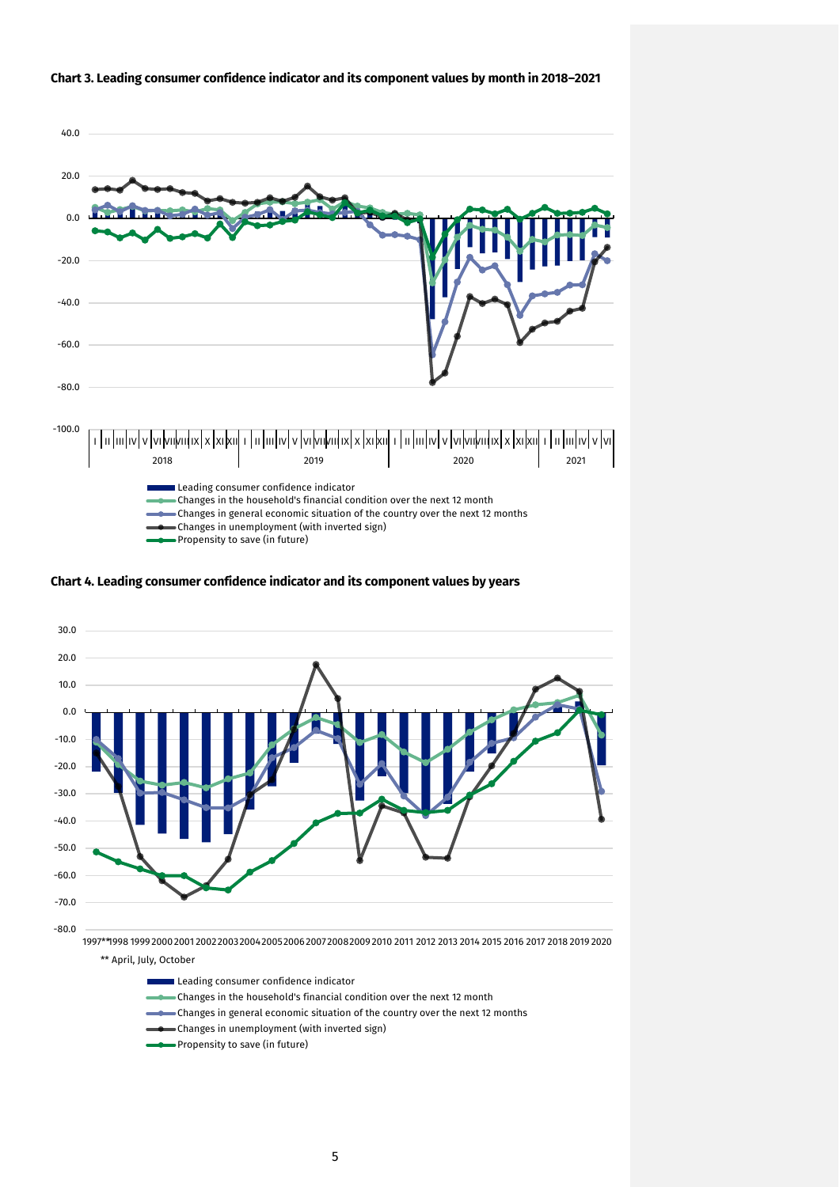

#### **Chart 3. Leading consumer confidence indicator and its component values by month in 2018–2021**





- Leading consumer confidence indicator
- Changes in the household's financial condition over the next 12 month
- Changes in general economic situation of the country over the next 12 months
- Changes in unemployment (with inverted sign)
- Propensity to save (in future)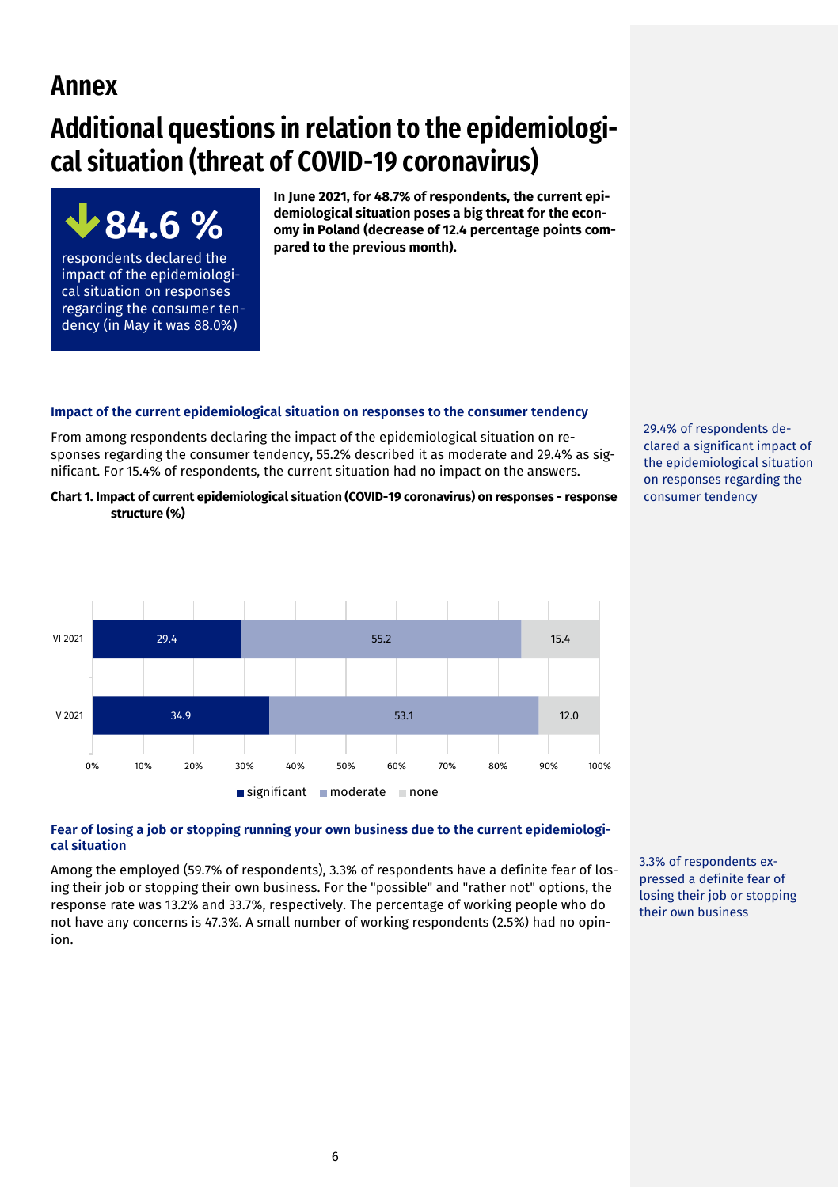# **Annex**

**84.6 %** 

respondents declared the impact of the epidemiological situation on responses regarding the consumer tendency (in May it was 88.0%)

# **Additional questions in relation to the epidemiological situation (threat of COVID-19 coronavirus)**

**In June 2021, for 48.7% of respondents, the current epidemiological situation poses a big threat for the economy in Poland (decrease of 12.4 percentage points compared to the previous month).** 

#### **Impact of the current epidemiological situation on responses to the consumer tendency**

From among respondents declaring the impact of the epidemiological situation on responses regarding the consumer tendency, 55.2% described it as moderate and 29.4% as significant. For 15.4% of respondents, the current situation had no impact on the answers.

**Chart 1. Impact of current epidemiological situation (COVID-19 coronavirus) on responses - response structure (%)**



#### **Fear of losing a job or stopping running your own business due to the current epidemiological situation**

Among the employed (59.7% of respondents), 3.3% of respondents have a definite fear of losing their job or stopping their own business. For the "possible" and "rather not" options, the response rate was 13.2% and 33.7%, respectively. The percentage of working people who do not have any concerns is 47.3%. A small number of working respondents (2.5%) had no opinion.

3.3% of respondents expressed a definite fear of losing their job or stopping their own business

29.4% of respondents declared a significant impact of the epidemiological situation on responses regarding the consumer tendency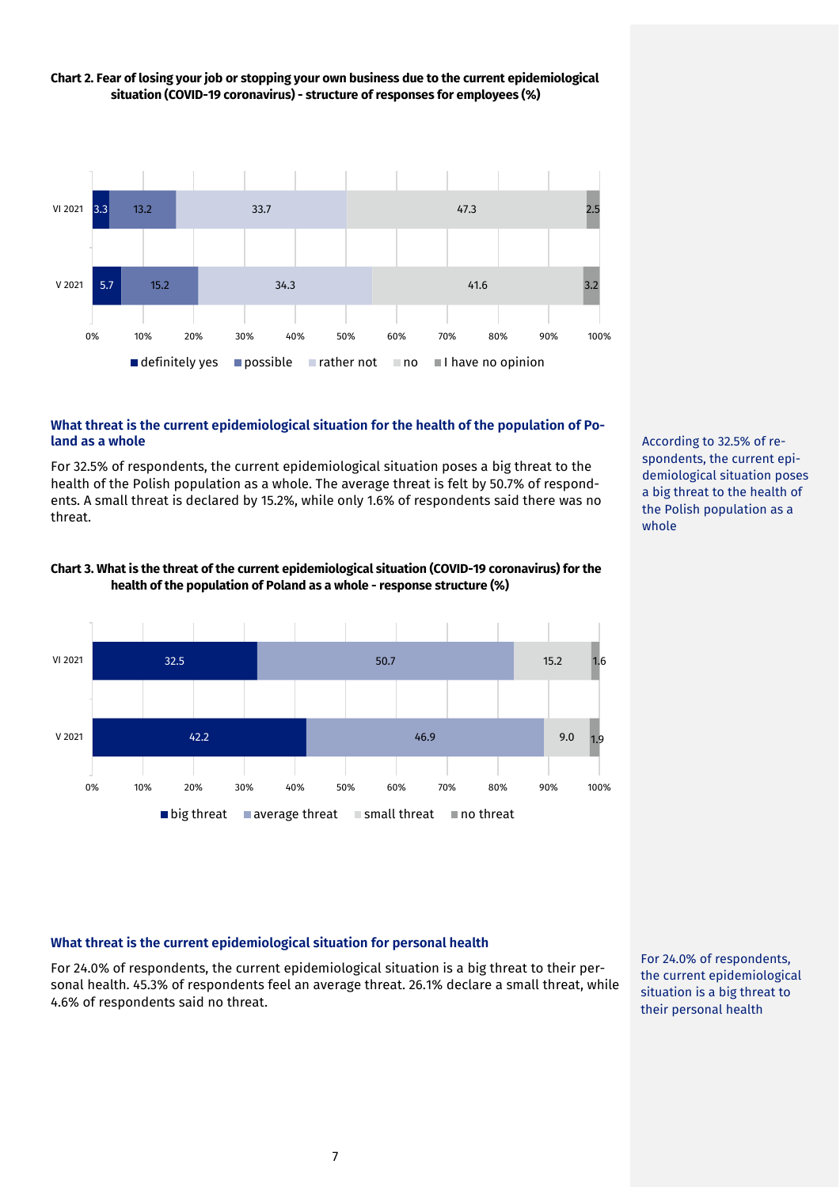

# **Chart 2. Fear of losing your job or stopping your own business due to the current epidemiological situation (COVID-19 coronavirus) - structure of responses for employees (%)**

#### **What threat is the current epidemiological situation for the health of the population of Poland as a whole**

For 32.5% of respondents, the current epidemiological situation poses a big threat to the health of the Polish population as a whole. The average threat is felt by 50.7% of respondents. A small threat is declared by 15.2%, while only 1.6% of respondents said there was no threat.





According to 32.5% of respondents, the current epidemiological situation poses a big threat to the health of the Polish population as a whole

# **What threat is the current epidemiological situation for personal health**

For 24.0% of respondents, the current epidemiological situation is a big threat to their personal health. 45.3% of respondents feel an average threat. 26.1% declare a small threat, while 4.6% of respondents said no threat.

For 24.0% of respondents, the current epidemiological situation is a big threat to their personal health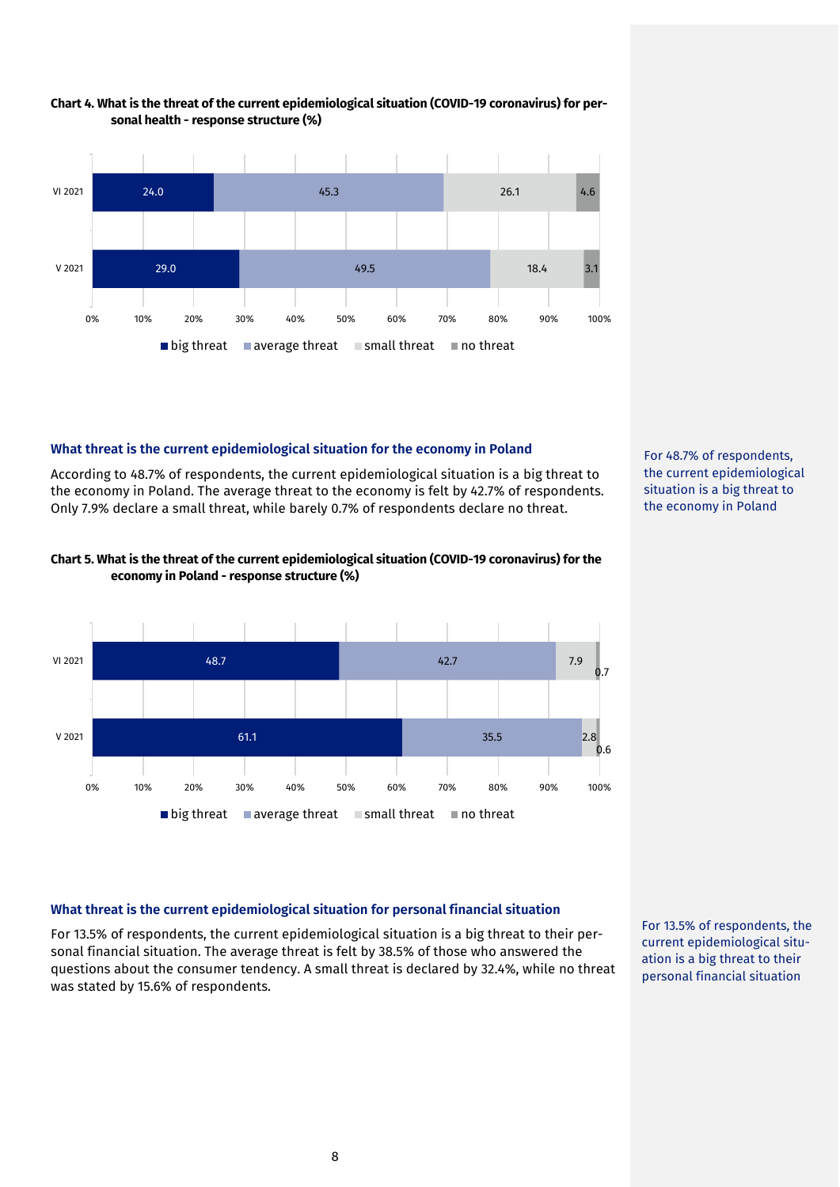

#### **Chart 4. What is the threat of the current epidemiological situation (COVID-19 coronavirus) for personal health - response structure (%)**

# **What threat is the current epidemiological situation for the economy in Poland**

According to 48.7% of respondents, the current epidemiological situation is a big threat to the economy in Poland. The average threat to the economy is felt by 42.7% of respondents. Only 7.9% declare a small threat, while barely 0.7% of respondents declare no threat.



## **Chart 5. What is the threat of the current epidemiological situation (COVID-19 coronavirus) for the economy in Poland - response structure (%)**



# **What threat is the current epidemiological situation for personal financial situation**

For 13.5% of respondents, the current epidemiological situation is a big threat to their personal financial situation. The average threat is felt by 38.5% of those who answered the questions about the consumer tendency. A small threat is declared by 32.4%, while no threat was stated by 15.6% of respondents.

For 13.5% of respondents, the current epidemiological situation is a big threat to their personal financial situation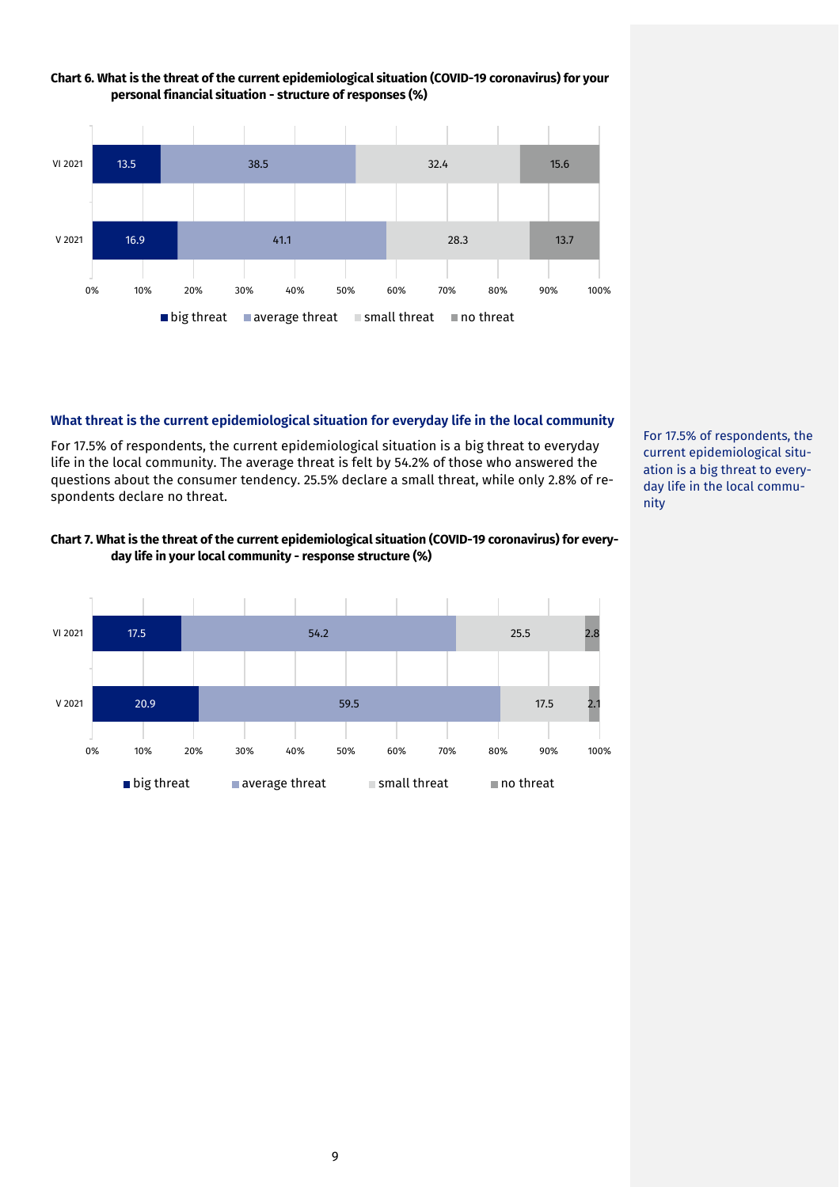

## **Chart 6. What is the threat of the current epidemiological situation (COVID-19 coronavirus) for your personal financial situation - structure of responses (%)**

#### **What threat is the current epidemiological situation for everyday life in the local community**

For 17.5% of respondents, the current epidemiological situation is a big threat to everyday life in the local community. The average threat is felt by 54.2% of those who answered the questions about the consumer tendency. 25.5% declare a small threat, while only 2.8% of respondents declare no threat.

## **Chart 7. What is the threat of the current epidemiological situation (COVID-19 coronavirus) for everyday life in your local community - response structure (%)**



For 17.5% of respondents, the current epidemiological situation is a big threat to everyday life in the local community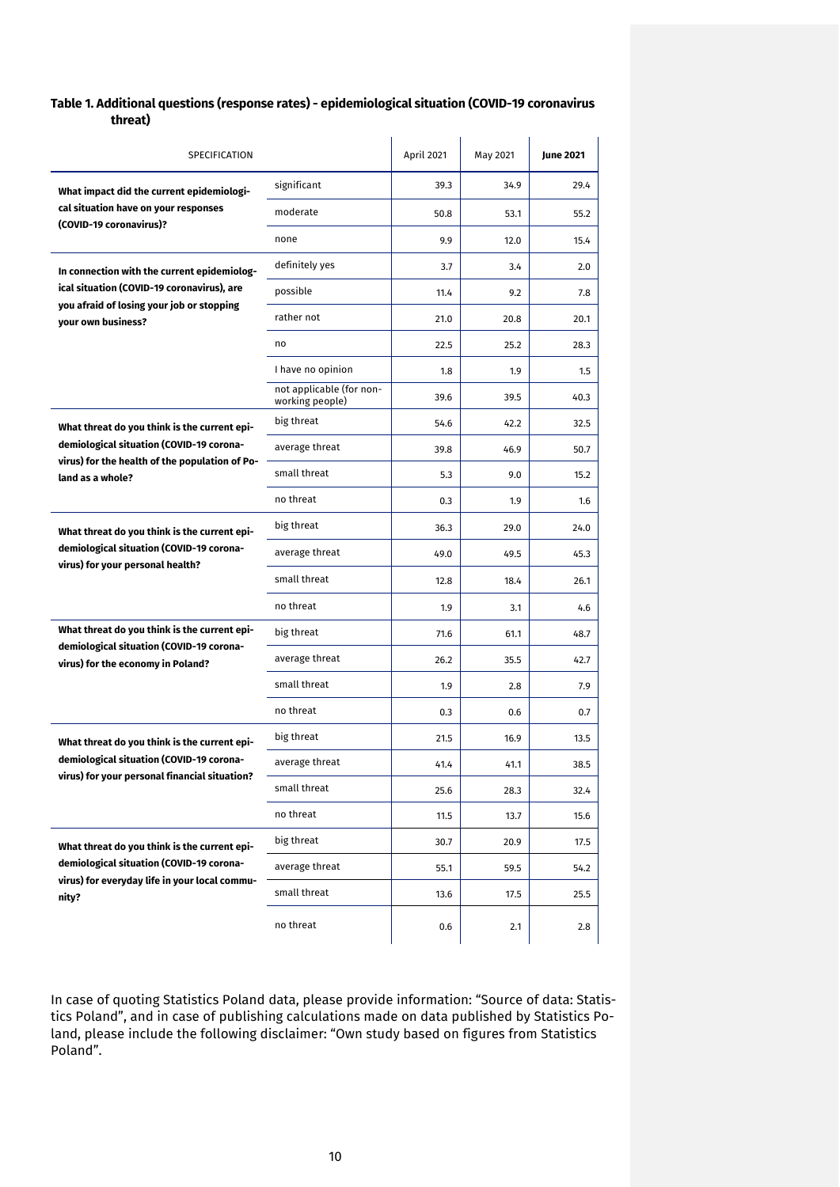#### **Table 1. Additional questions (response rates) - epidemiological situation (COVID-19 coronavirus threat)**

| SPECIFICATION                                                                 |                                             | April 2021 | May 2021 | <b>June 2021</b> |
|-------------------------------------------------------------------------------|---------------------------------------------|------------|----------|------------------|
| What impact did the current epidemiologi-                                     | significant                                 | 39.3       | 34.9     | 29.4             |
| cal situation have on your responses                                          | moderate                                    | 50.8       | 53.1     | 55.2             |
| (COVID-19 coronavirus)?                                                       | none                                        | 9.9        | 12.0     | 15.4             |
| In connection with the current epidemiolog-                                   | definitely yes                              | 3.7        | 3.4      | 2.0              |
| ical situation (COVID-19 coronavirus), are                                    | possible                                    | 11.4       | 9.2      | 7.8              |
| you afraid of losing your job or stopping<br>your own business?               | rather not                                  | 21.0       | 20.8     | 20.1             |
|                                                                               | no                                          | 22.5       | 25.2     | 28.3             |
|                                                                               | I have no opinion                           | 1.8        | 1.9      | 1.5              |
|                                                                               | not applicable (for non-<br>working people) | 39.6       | 39.5     | 40.3             |
| What threat do you think is the current epi-                                  | big threat                                  | 54.6       | 42.2     | 32.5             |
| demiological situation (COVID-19 corona-                                      | average threat                              | 39.8       | 46.9     | 50.7             |
| virus) for the health of the population of Po-<br>land as a whole?            | small threat                                | 5.3        | 9.0      | 15.2             |
|                                                                               | no threat                                   | 0.3        | 1.9      | 1.6              |
| What threat do you think is the current epi-                                  | big threat                                  | 36.3       | 29.0     | 24.0             |
| demiological situation (COVID-19 corona-<br>virus) for your personal health?  | average threat                              | 49.0       | 49.5     | 45.3             |
|                                                                               | small threat                                | 12.8       | 18.4     | 26.1             |
|                                                                               | no threat                                   | 1.9        | 3.1      | 4.6              |
| What threat do you think is the current epi-                                  | big threat                                  | 71.6       | 61.1     | 48.7             |
| demiological situation (COVID-19 corona-<br>virus) for the economy in Poland? | average threat                              | 26.2       | 35.5     | 42.7             |
|                                                                               | small threat                                | 1.9        | 2.8      | 7.9              |
|                                                                               | no threat                                   | 0.3        | 0.6      | 0.7              |
| What threat do you think is the current epi-                                  | big threat                                  | 21.5       | 16.9     | 13.5             |
| demiological situation (COVID-19 corona-                                      | average threat                              | 41.4       | 41.1     | 38.5             |
| virus) for your personal financial situation?                                 | small threat                                | 25.6       | 28.3     | 32.4             |
|                                                                               | no threat                                   | 11.5       | 13.7     | 15.6             |
| What threat do you think is the current epi-                                  | big threat                                  | 30.7       | 20.9     | 17.5             |
| demiological situation (COVID-19 corona-                                      | average threat                              | 55.1       | 59.5     | 54.2             |
| virus) for everyday life in your local commu-<br>nity?                        | small threat                                | 13.6       | 17.5     | 25.5             |
|                                                                               | no threat                                   | 0.6        | 2.1      | 2.8              |

In case of quoting Statistics Poland data, please provide information: "Source of data: Statistics Poland", and in case of publishing calculations made on data published by Statistics Poland, please include the following disclaimer: "Own study based on figures from Statistics Poland".